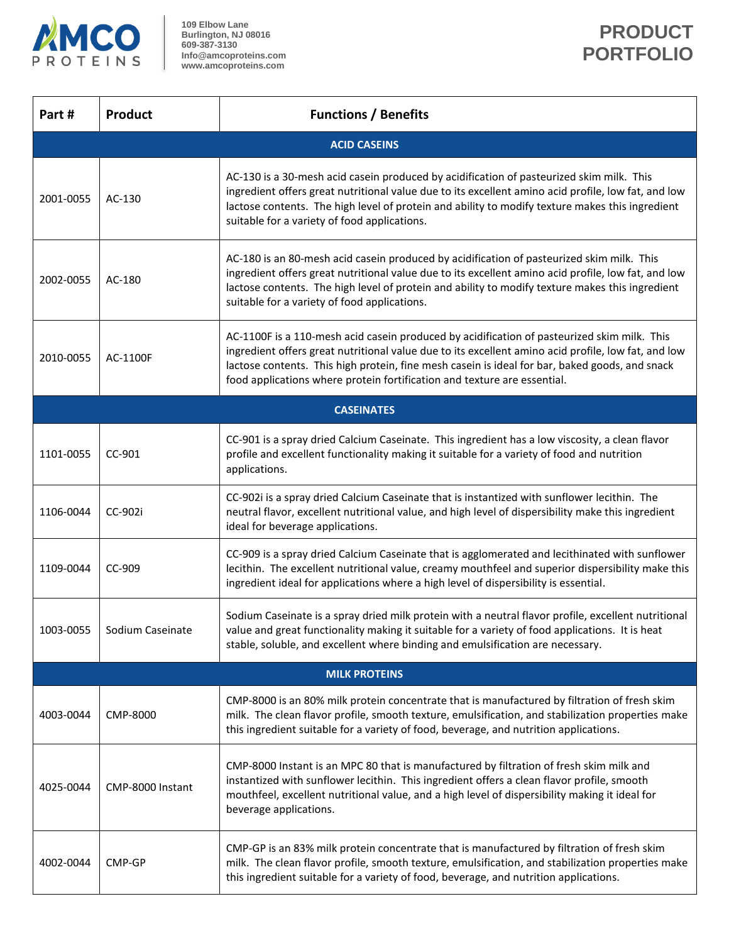

**109 Elbow Lane Burlington, NJ 08016 609-387-3130 Info@amcoproteins.com www.amcoproteins.com**

┑

| Part#                | <b>Product</b>   | <b>Functions / Benefits</b>                                                                                                                                                                                                                                                                                                                                                      |  |  |  |
|----------------------|------------------|----------------------------------------------------------------------------------------------------------------------------------------------------------------------------------------------------------------------------------------------------------------------------------------------------------------------------------------------------------------------------------|--|--|--|
| <b>ACID CASEINS</b>  |                  |                                                                                                                                                                                                                                                                                                                                                                                  |  |  |  |
| 2001-0055            | AC-130           | AC-130 is a 30-mesh acid casein produced by acidification of pasteurized skim milk. This<br>ingredient offers great nutritional value due to its excellent amino acid profile, low fat, and low<br>lactose contents. The high level of protein and ability to modify texture makes this ingredient<br>suitable for a variety of food applications.                               |  |  |  |
| 2002-0055            | AC-180           | AC-180 is an 80-mesh acid casein produced by acidification of pasteurized skim milk. This<br>ingredient offers great nutritional value due to its excellent amino acid profile, low fat, and low<br>lactose contents. The high level of protein and ability to modify texture makes this ingredient<br>suitable for a variety of food applications.                              |  |  |  |
| 2010-0055            | AC-1100F         | AC-1100F is a 110-mesh acid casein produced by acidification of pasteurized skim milk. This<br>ingredient offers great nutritional value due to its excellent amino acid profile, low fat, and low<br>lactose contents. This high protein, fine mesh casein is ideal for bar, baked goods, and snack<br>food applications where protein fortification and texture are essential. |  |  |  |
|                      |                  | <b>CASEINATES</b>                                                                                                                                                                                                                                                                                                                                                                |  |  |  |
| 1101-0055            | CC-901           | CC-901 is a spray dried Calcium Caseinate. This ingredient has a low viscosity, a clean flavor<br>profile and excellent functionality making it suitable for a variety of food and nutrition<br>applications.                                                                                                                                                                    |  |  |  |
| 1106-0044            | CC-902i          | CC-902i is a spray dried Calcium Caseinate that is instantized with sunflower lecithin. The<br>neutral flavor, excellent nutritional value, and high level of dispersibility make this ingredient<br>ideal for beverage applications.                                                                                                                                            |  |  |  |
| 1109-0044            | CC-909           | CC-909 is a spray dried Calcium Caseinate that is agglomerated and lecithinated with sunflower<br>lecithin. The excellent nutritional value, creamy mouthfeel and superior dispersibility make this<br>ingredient ideal for applications where a high level of dispersibility is essential.                                                                                      |  |  |  |
| 1003-0055            | Sodium Caseinate | Sodium Caseinate is a spray dried milk protein with a neutral flavor profile, excellent nutritional<br>value and great functionality making it suitable for a variety of food applications. It is heat<br>stable, soluble, and excellent where binding and emulsification are necessary.                                                                                         |  |  |  |
| <b>MILK PROTEINS</b> |                  |                                                                                                                                                                                                                                                                                                                                                                                  |  |  |  |
| 4003-0044            | CMP-8000         | CMP-8000 is an 80% milk protein concentrate that is manufactured by filtration of fresh skim<br>milk. The clean flavor profile, smooth texture, emulsification, and stabilization properties make<br>this ingredient suitable for a variety of food, beverage, and nutrition applications.                                                                                       |  |  |  |
| 4025-0044            | CMP-8000 Instant | CMP-8000 Instant is an MPC 80 that is manufactured by filtration of fresh skim milk and<br>instantized with sunflower lecithin. This ingredient offers a clean flavor profile, smooth<br>mouthfeel, excellent nutritional value, and a high level of dispersibility making it ideal for<br>beverage applications.                                                                |  |  |  |
| 4002-0044            | CMP-GP           | CMP-GP is an 83% milk protein concentrate that is manufactured by filtration of fresh skim<br>milk. The clean flavor profile, smooth texture, emulsification, and stabilization properties make<br>this ingredient suitable for a variety of food, beverage, and nutrition applications.                                                                                         |  |  |  |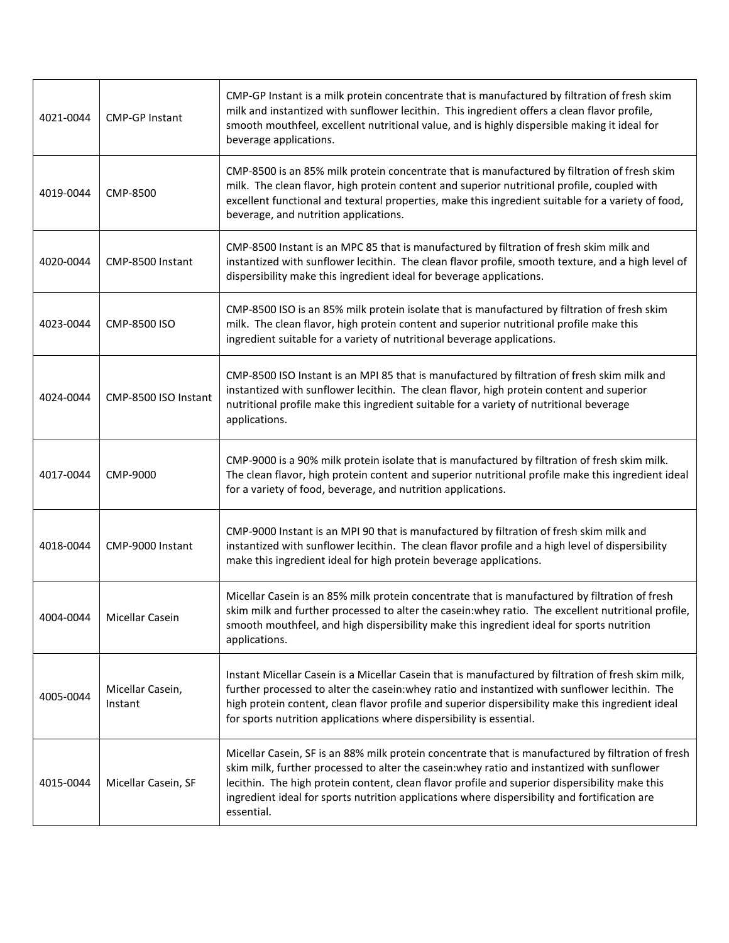| 4021-0044 | <b>CMP-GP Instant</b>       | CMP-GP Instant is a milk protein concentrate that is manufactured by filtration of fresh skim<br>milk and instantized with sunflower lecithin. This ingredient offers a clean flavor profile,<br>smooth mouthfeel, excellent nutritional value, and is highly dispersible making it ideal for<br>beverage applications.                                                                                            |
|-----------|-----------------------------|--------------------------------------------------------------------------------------------------------------------------------------------------------------------------------------------------------------------------------------------------------------------------------------------------------------------------------------------------------------------------------------------------------------------|
| 4019-0044 | CMP-8500                    | CMP-8500 is an 85% milk protein concentrate that is manufactured by filtration of fresh skim<br>milk. The clean flavor, high protein content and superior nutritional profile, coupled with<br>excellent functional and textural properties, make this ingredient suitable for a variety of food,<br>beverage, and nutrition applications.                                                                         |
| 4020-0044 | CMP-8500 Instant            | CMP-8500 Instant is an MPC 85 that is manufactured by filtration of fresh skim milk and<br>instantized with sunflower lecithin. The clean flavor profile, smooth texture, and a high level of<br>dispersibility make this ingredient ideal for beverage applications.                                                                                                                                              |
| 4023-0044 | CMP-8500 ISO                | CMP-8500 ISO is an 85% milk protein isolate that is manufactured by filtration of fresh skim<br>milk. The clean flavor, high protein content and superior nutritional profile make this<br>ingredient suitable for a variety of nutritional beverage applications.                                                                                                                                                 |
| 4024-0044 | CMP-8500 ISO Instant        | CMP-8500 ISO Instant is an MPI 85 that is manufactured by filtration of fresh skim milk and<br>instantized with sunflower lecithin. The clean flavor, high protein content and superior<br>nutritional profile make this ingredient suitable for a variety of nutritional beverage<br>applications.                                                                                                                |
| 4017-0044 | CMP-9000                    | CMP-9000 is a 90% milk protein isolate that is manufactured by filtration of fresh skim milk.<br>The clean flavor, high protein content and superior nutritional profile make this ingredient ideal<br>for a variety of food, beverage, and nutrition applications.                                                                                                                                                |
| 4018-0044 | CMP-9000 Instant            | CMP-9000 Instant is an MPI 90 that is manufactured by filtration of fresh skim milk and<br>instantized with sunflower lecithin. The clean flavor profile and a high level of dispersibility<br>make this ingredient ideal for high protein beverage applications.                                                                                                                                                  |
| 4004-0044 | Micellar Casein             | Micellar Casein is an 85% milk protein concentrate that is manufactured by filtration of fresh<br>skim milk and further processed to alter the casein: whey ratio. The excellent nutritional profile,<br>smooth mouthfeel, and high dispersibility make this ingredient ideal for sports nutrition<br>applications.                                                                                                |
| 4005-0044 | Micellar Casein,<br>Instant | Instant Micellar Casein is a Micellar Casein that is manufactured by filtration of fresh skim milk,<br>further processed to alter the casein: whey ratio and instantized with sunflower lecithin. The<br>high protein content, clean flavor profile and superior dispersibility make this ingredient ideal<br>for sports nutrition applications where dispersibility is essential.                                 |
| 4015-0044 | Micellar Casein, SF         | Micellar Casein, SF is an 88% milk protein concentrate that is manufactured by filtration of fresh<br>skim milk, further processed to alter the casein: whey ratio and instantized with sunflower<br>lecithin. The high protein content, clean flavor profile and superior dispersibility make this<br>ingredient ideal for sports nutrition applications where dispersibility and fortification are<br>essential. |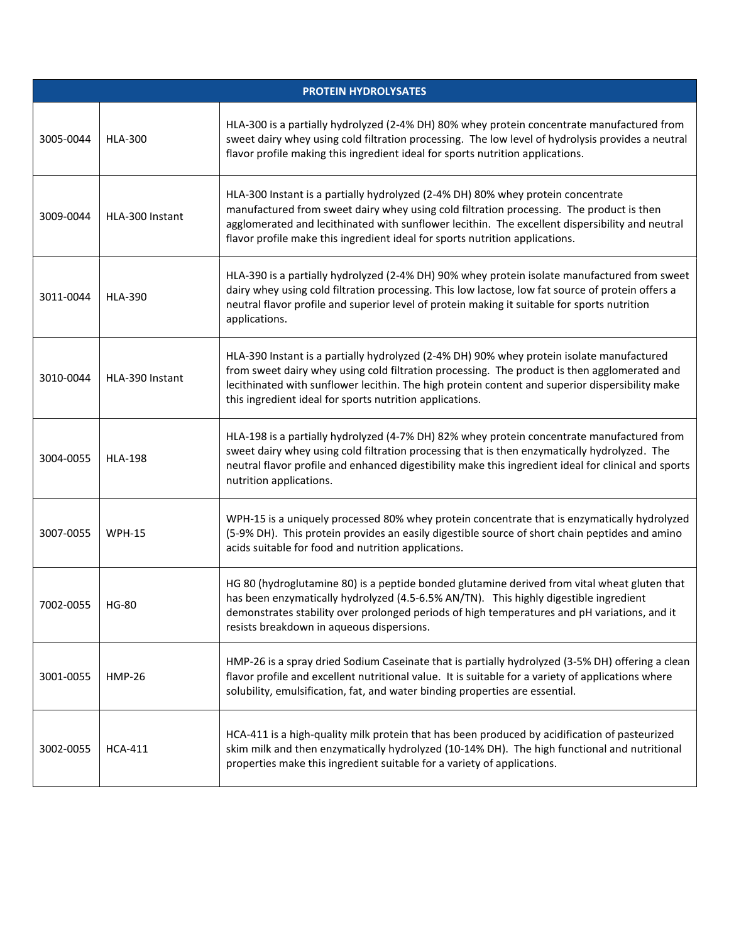| <b>PROTEIN HYDROLYSATES</b> |                 |                                                                                                                                                                                                                                                                                                                                                                 |  |  |
|-----------------------------|-----------------|-----------------------------------------------------------------------------------------------------------------------------------------------------------------------------------------------------------------------------------------------------------------------------------------------------------------------------------------------------------------|--|--|
| 3005-0044                   | <b>HLA-300</b>  | HLA-300 is a partially hydrolyzed (2-4% DH) 80% whey protein concentrate manufactured from<br>sweet dairy whey using cold filtration processing. The low level of hydrolysis provides a neutral<br>flavor profile making this ingredient ideal for sports nutrition applications.                                                                               |  |  |
| 3009-0044                   | HLA-300 Instant | HLA-300 Instant is a partially hydrolyzed (2-4% DH) 80% whey protein concentrate<br>manufactured from sweet dairy whey using cold filtration processing. The product is then<br>agglomerated and lecithinated with sunflower lecithin. The excellent dispersibility and neutral<br>flavor profile make this ingredient ideal for sports nutrition applications. |  |  |
| 3011-0044                   | <b>HLA-390</b>  | HLA-390 is a partially hydrolyzed (2-4% DH) 90% whey protein isolate manufactured from sweet<br>dairy whey using cold filtration processing. This low lactose, low fat source of protein offers a<br>neutral flavor profile and superior level of protein making it suitable for sports nutrition<br>applications.                                              |  |  |
| 3010-0044                   | HLA-390 Instant | HLA-390 Instant is a partially hydrolyzed (2-4% DH) 90% whey protein isolate manufactured<br>from sweet dairy whey using cold filtration processing. The product is then agglomerated and<br>lecithinated with sunflower lecithin. The high protein content and superior dispersibility make<br>this ingredient ideal for sports nutrition applications.        |  |  |
| 3004-0055                   | <b>HLA-198</b>  | HLA-198 is a partially hydrolyzed (4-7% DH) 82% whey protein concentrate manufactured from<br>sweet dairy whey using cold filtration processing that is then enzymatically hydrolyzed. The<br>neutral flavor profile and enhanced digestibility make this ingredient ideal for clinical and sports<br>nutrition applications.                                   |  |  |
| 3007-0055                   | <b>WPH-15</b>   | WPH-15 is a uniquely processed 80% whey protein concentrate that is enzymatically hydrolyzed<br>(5-9% DH). This protein provides an easily digestible source of short chain peptides and amino<br>acids suitable for food and nutrition applications.                                                                                                           |  |  |
| 7002-0055                   | <b>HG-80</b>    | HG 80 (hydroglutamine 80) is a peptide bonded glutamine derived from vital wheat gluten that<br>has been enzymatically hydrolyzed (4.5-6.5% AN/TN). This highly digestible ingredient<br>demonstrates stability over prolonged periods of high temperatures and pH variations, and it<br>resists breakdown in aqueous dispersions.                              |  |  |
| 3001-0055                   | <b>HMP-26</b>   | HMP-26 is a spray dried Sodium Caseinate that is partially hydrolyzed (3-5% DH) offering a clean<br>flavor profile and excellent nutritional value. It is suitable for a variety of applications where<br>solubility, emulsification, fat, and water binding properties are essential.                                                                          |  |  |
| 3002-0055                   | <b>HCA-411</b>  | HCA-411 is a high-quality milk protein that has been produced by acidification of pasteurized<br>skim milk and then enzymatically hydrolyzed (10-14% DH). The high functional and nutritional<br>properties make this ingredient suitable for a variety of applications.                                                                                        |  |  |